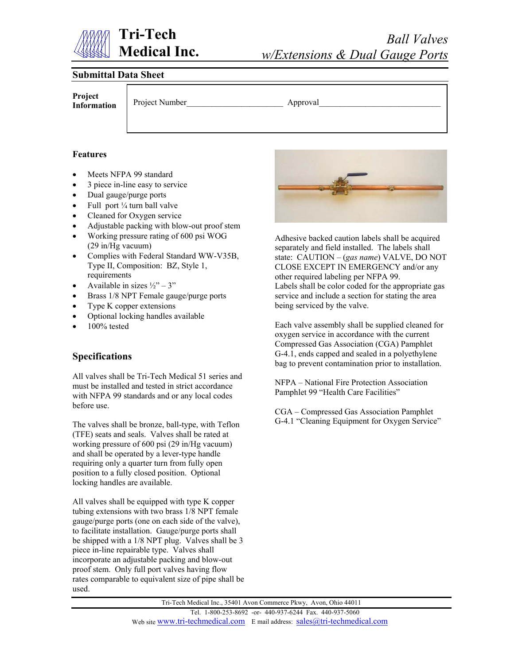

#### **Submittal Data Sheet**

**Project Information**

Project Number Approval

#### **Features**

- Meets NFPA 99 standard
- 3 piece in-line easy to service
- Dual gauge/purge ports
- Full port ¼ turn ball valve
- Cleaned for Oxygen service
- Adjustable packing with blow-out proof stem
- Working pressure rating of 600 psi WOG (29 in/Hg vacuum)
- Complies with Federal Standard WW-V35B, Type II, Composition: BZ, Style 1, requirements
- Available in sizes  $\frac{1}{2}$  3"
- Brass 1/8 NPT Female gauge/purge ports
- Type K copper extensions
- Optional locking handles available
- 100% tested

### **Specifications**

All valves shall be Tri-Tech Medical 51 series and must be installed and tested in strict accordance with NFPA 99 standards and or any local codes before use.

The valves shall be bronze, ball-type, with Teflon (TFE) seats and seals. Valves shall be rated at working pressure of 600 psi (29 in/Hg vacuum) and shall be operated by a lever-type handle requiring only a quarter turn from fully open position to a fully closed position. Optional locking handles are available.

All valves shall be equipped with type K copper tubing extensions with two brass 1/8 NPT female gauge/purge ports (one on each side of the valve), to facilitate installation. Gauge/purge ports shall be shipped with a 1/8 NPT plug. Valves shall be 3 piece in-line repairable type. Valves shall incorporate an adjustable packing and blow-out proof stem. Only full port valves having flow rates comparable to equivalent size of pipe shall be used.



Adhesive backed caution labels shall be acquired separately and field installed. The labels shall state: CAUTION – (*gas name*) VALVE, DO NOT CLOSE EXCEPT IN EMERGENCY and/or any other required labeling per NFPA 99. Labels shall be color coded for the appropriate gas service and include a section for stating the area being serviced by the valve.

Each valve assembly shall be supplied cleaned for oxygen service in accordance with the current Compressed Gas Association (CGA) Pamphlet G-4.1, ends capped and sealed in a polyethylene bag to prevent contamination prior to installation.

NFPA – National Fire Protection Association Pamphlet 99 "Health Care Facilities"

CGA – Compressed Gas Association Pamphlet G-4.1 "Cleaning Equipment for Oxygen Service"